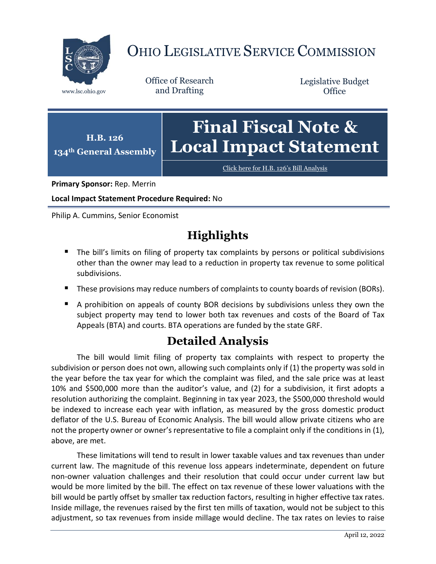

## OHIO LEGISLATIVE SERVICE COMMISSION

Office of Research www.lsc.ohio.gov and Drafting

Legislative Budget **Office** 



[Click here for H.B. 126](https://www.legislature.ohio.gov/legislation/legislation-documents?id=GA134-HB-126)'s Bill Analysis

**Primary Sponsor:** Rep. Merrin

**Local Impact Statement Procedure Required:** No

Philip A. Cummins, Senior Economist

## **Highlights**

- The bill's limits on filing of property tax complaints by persons or political subdivisions other than the owner may lead to a reduction in property tax revenue to some political subdivisions.
- These provisions may reduce numbers of complaints to county boards of revision (BORs).
- A prohibition on appeals of county BOR decisions by subdivisions unless they own the subject property may tend to lower both tax revenues and costs of the Board of Tax Appeals (BTA) and courts. BTA operations are funded by the state GRF.

## **Detailed Analysis**

The bill would limit filing of property tax complaints with respect to property the subdivision or person does not own, allowing such complaints only if (1) the property was sold in the year before the tax year for which the complaint was filed, and the sale price was at least 10% and \$500,000 more than the auditor's value, and (2) for a subdivision, it first adopts a resolution authorizing the complaint. Beginning in tax year 2023, the \$500,000 threshold would be indexed to increase each year with inflation, as measured by the gross domestic product deflator of the U.S. Bureau of Economic Analysis. The bill would allow private citizens who are not the property owner or owner's representative to file a complaint only if the conditions in (1), above, are met.

These limitations will tend to result in lower taxable values and tax revenues than under current law. The magnitude of this revenue loss appears indeterminate, dependent on future non-owner valuation challenges and their resolution that could occur under current law but would be more limited by the bill. The effect on tax revenue of these lower valuations with the bill would be partly offset by smaller tax reduction factors, resulting in higher effective tax rates. Inside millage, the revenues raised by the first ten mills of taxation, would not be subject to this adjustment, so tax revenues from inside millage would decline. The tax rates on levies to raise